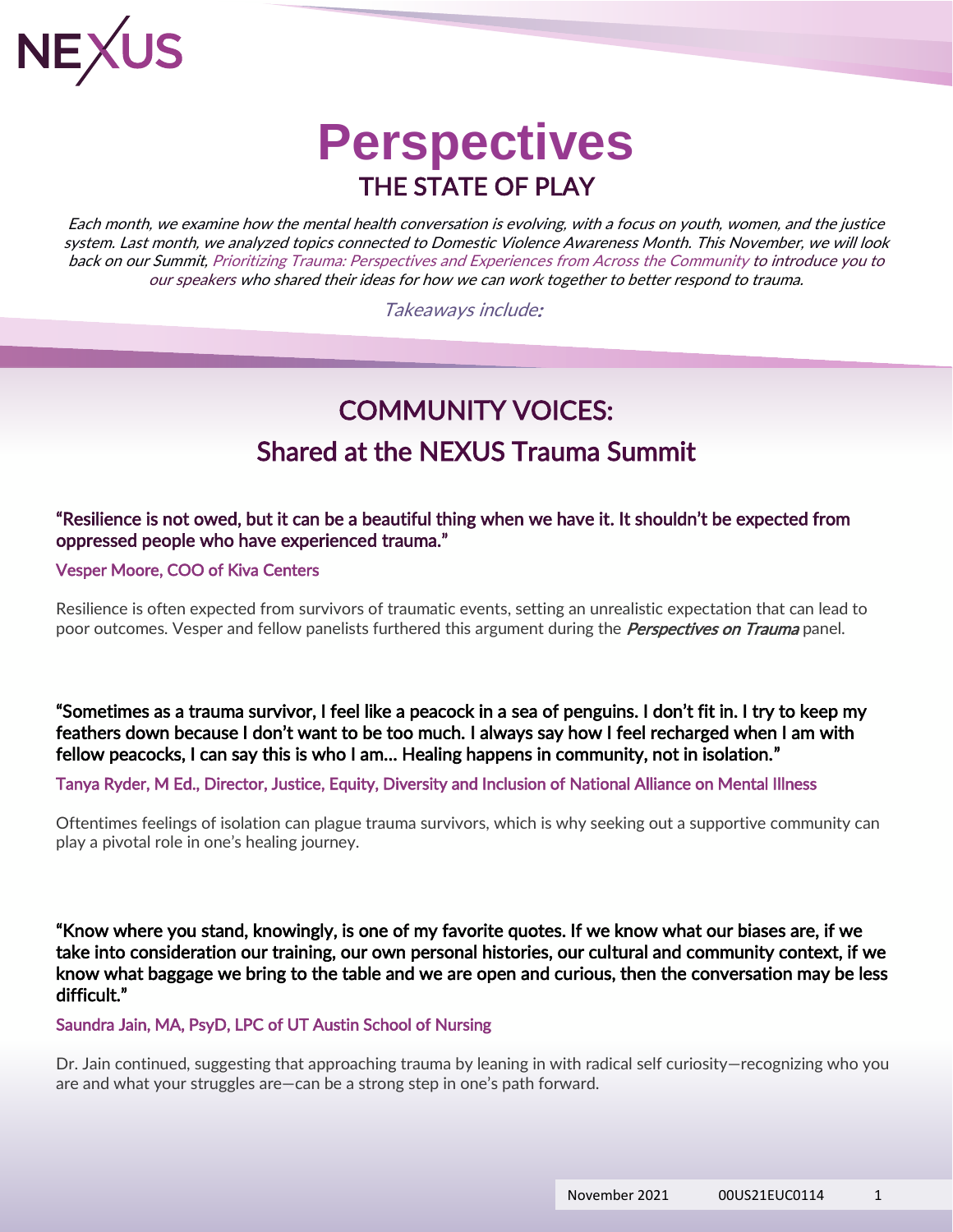

### **Perspectives** THE STATE OF PLAY

Each month, we examine how the mental health conversation is evolving, with a focus on youth, women, and the justice system. Last month, we analyzed topics connected to Domestic Violence Awareness Month. This November, we will look back on our Summit, Prioritizing Trauma: Perspectives and Experiences from Across the Community to introduce you to our speakers who shared their ideas for how we can work together to better respond to trauma.

Takeaways include:

### COMMUNITY VOICES: Shared at the NEXUS Trauma Summit

#### "Resilience is not owed, but it can be a beautiful thing when we have it. It shouldn't be expected from oppressed people who have experienced trauma."

[Vesper Moore,](https://kivacenters.org/about/our-team/) COO of [Kiva Centers](https://kivacenters.org/) 

Resilience is often expected from survivors of traumatic events, setting an unrealistic expectation that can lead to poor outcomes. Vesper and fellow panelists furthered this argument during the *Perspectives on Trauma* panel.

"Sometimes as a trauma survivor, I feel like a peacock in a sea of penguins. I don't fit in. I try to keep my feathers down because I don't want to be too much. I always say how I feel recharged when I am with fellow peacocks, I can say this is who I am… Healing happens in community, not in isolation."

[Tanya Ryder, M Ed., Director, Justice, Equity, Diversity and Inclusion of National Alliance on Mental Illness](https://nami.org/Home)

Oftentimes feelings of isolation can plague trauma survivors, which is why seeking out a supportive community can play a pivotal role in one's healing journey.

"Know where you stand, knowingly, is one of my favorite quotes. If we know what our biases are, if we take into consideration our training, our own personal histories, our cultural and community context, if we know what baggage we bring to the table and we are open and curious, then the conversation may be less difficult."

[Saundra Jain, MA, PsyD, LPC](https://www.saundrajain.com/) of UT Austin School of Nursing

Dr. Jain continued, suggesting that approaching trauma by leaning in with radical self curiosity—recognizing who you are and what your struggles are—can be a strong step in one's path forward.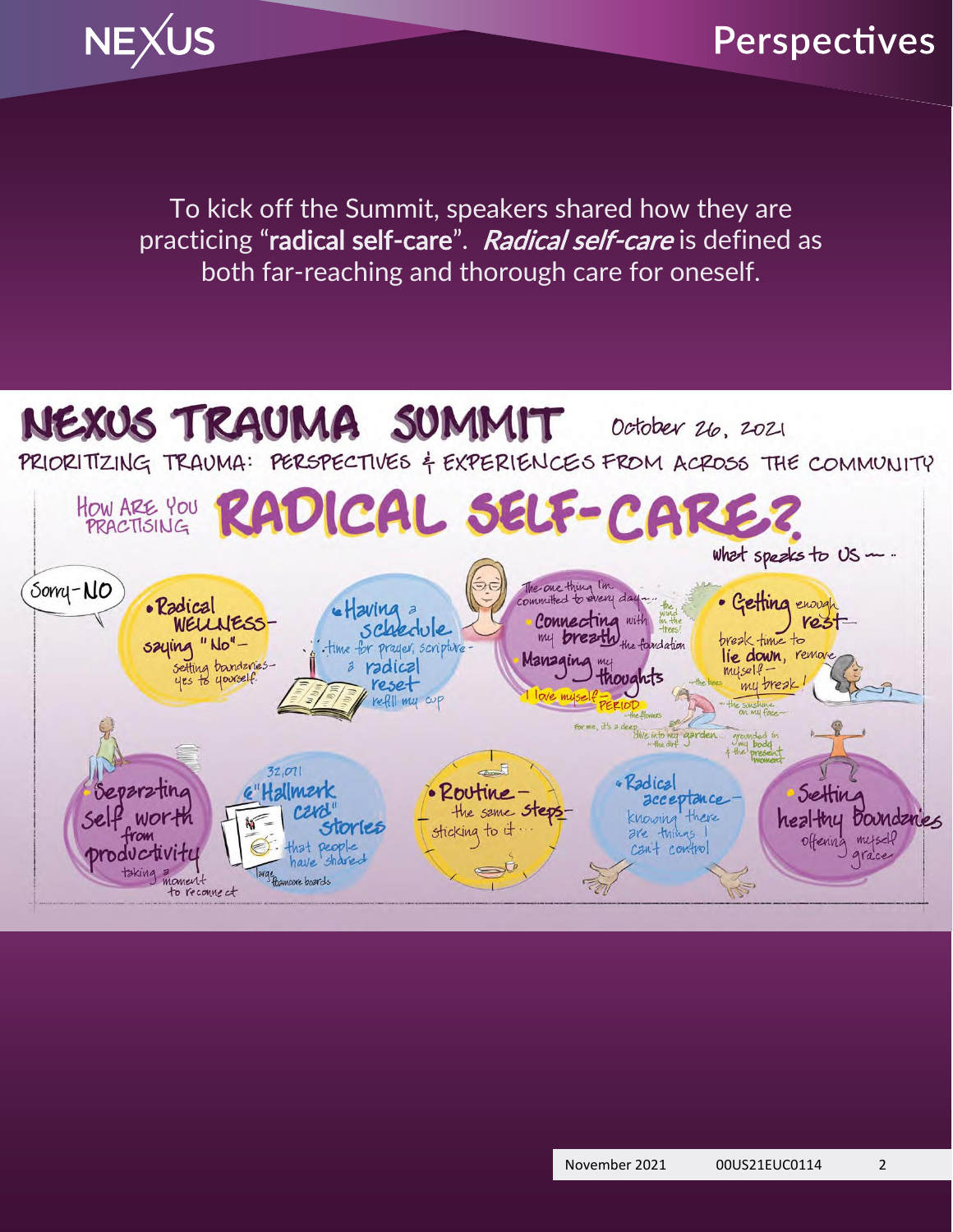

### Perspectives

To kick off the Summit, speakers shared how they are practicing "radical self-care". Radical self-care is defined as both far-reaching and thorough care for oneself.

#### NEXUS TRAUMA SUMMIT October 26, 2021

PRIORITIZING TRAUMA: PERSPECTIVES & EXPERIENCES FROM ACROSS THE COMMUNITY

How ARE YOU RADICAL SELF-CI what speaks to US  $\sim$ . The one thing I'm<br>committed to every day -... Somy-NO Getting enough • Radical **utaving** a Connecting with the formulation WELL JESS. **Yest** schedule saying "No"break time to time for prayer, scripture lie down, remove Managing my setting bandariesa radical myself thoughts yes to yourself. my break reset refll my cup OVE MUSE my body present  $32,071$ Radical Separatina G"Halmerk Routine Settin *acceptance* the same **Steps** knowing there healthy Doundanies worth sticking to it storles are things offering  $m/scl$ that people<br>have shared cant control productivite grace taking moment Targe Bancore boards to recoune at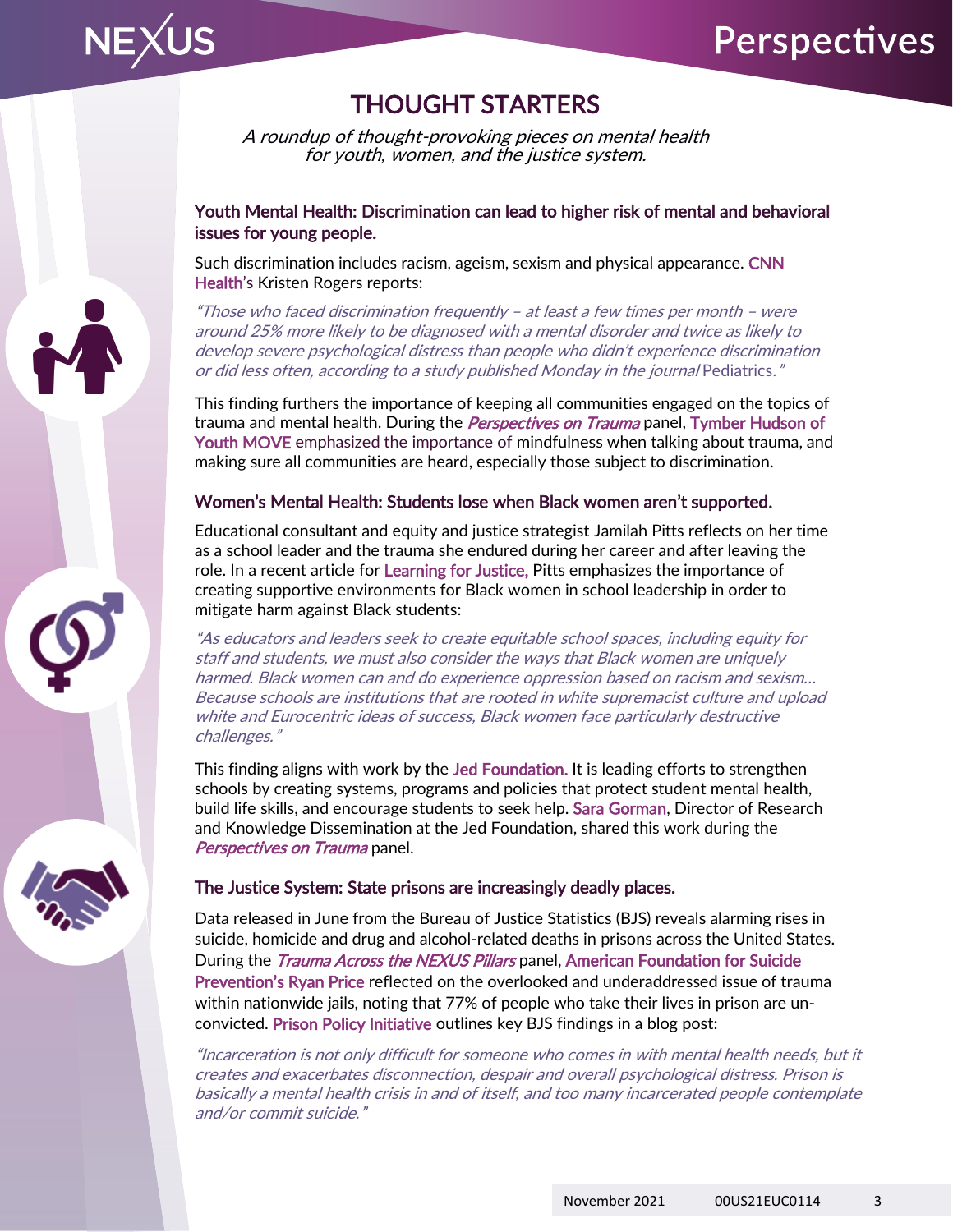

#### THOUGHT STARTERS

A roundup of thought-provoking pieces on mental health for youth, women, and the justice system.

#### [Youth Mental Health: Discrimination can lead to higher risk of mental and behavioral](https://www.cnn.com/2021/11/08/health/ageism-racism-sexism-discrimination-mental-health-effects-wellness/index.html)  [issues for young people.](https://www.cnn.com/2021/11/08/health/ageism-racism-sexism-discrimination-mental-health-effects-wellness/index.html)

Such discrimination includes racism, ageism, sexism and physical appearance. CNN [Health](https://www.cnn.com/2021/11/08/health/ageism-racism-sexism-discrimination-mental-health-effects-wellness/index.html)'s Kristen Rogers reports:

"Those who faced discrimination frequently – at least a few times per month – were around 25% more likely to be diagnosed with a mental disorder and twice as likely to develop severe psychological distress than people who didn't experience discrimination or did less often, according to a study published Monday in the journal Pediatrics."

This finding furthers the importance of keeping all communities engaged on the topics of trauma and mental health. During the *Perspectives on Trauma* panel, Tymber Hudson of [Youth MOVE](https://youthmovenational.org/national-leadership-team/) emphasized the importance of mindfulness when talking about trauma, and making sure all communities are heard, especially those subject to discrimination.

#### Women's Mental Health: [Students lose when Black women aren't supported](https://www.learningforjustice.org/magazine/students-lose-when-black-women-arent-supported).

Educational consultant and equity and justice strategist Jamilah Pitts reflects on her time as a school leader and the trauma she endured during her career and after leaving the role. In a recent article for [Learning for Justice,](https://www.learningforjustice.org/magazine/students-lose-when-black-women-arent-supported) Pitts emphasizes the importance of creating supportive environments for Black women in school leadership in order to mitigate harm against Black students:

"As educators and leaders seek to create equitable school spaces, including equity for staff and students, we must also consider the ways that Black women are uniquely harmed. Black women can and do experience oppression based on racism and sexism… Because schools are institutions that are rooted in white supremacist culture and upload white and Eurocentric ideas of success, Black women face particularly destructive challenges."

This finding aligns with work by the [Jed Foundation.](https://jedfoundation.org/our-work/) It is leading efforts to strengthen schools by creating systems, programs and policies that protect student mental health, build life skills, and encourage students to seek help. Sara Gorman, Director of Research and Knowledge Dissemination at the Jed Foundation, shared this work during the Perspectives on Trauma panel.

#### [The Justice System: State prisons are increasingly deadly places.](https://www.prisonpolicy.org/blog/2021/06/08/prison_mortality/)

Data released in June from the Bureau of Justice Statistics (BJS) reveals alarming rises in suicide, homicide and drug and alcohol-related deaths in prisons across the United States. During the *Trauma Across the NEXUS Pillars* panel, American Foundation for Suicide [Prevention's Ryan Price](https://afsp.org/) reflected on the overlooked and underaddressed issue of trauma within nationwide jails, noting that 77% of people who take their lives in prison are unconvicted. [Prison Policy Initiative](https://www.prisonpolicy.org/blog/2021/06/08/prison_mortality/) outlines key BJS findings in a blog post:

"Incarceration is not only difficult for someone who comes in with mental health needs, but it creates and exacerbates disconnection, despair and overall psychological distress. Prison is basically a mental health crisis in and of itself, and too many incarcerated people contemplate and/or commit suicide."